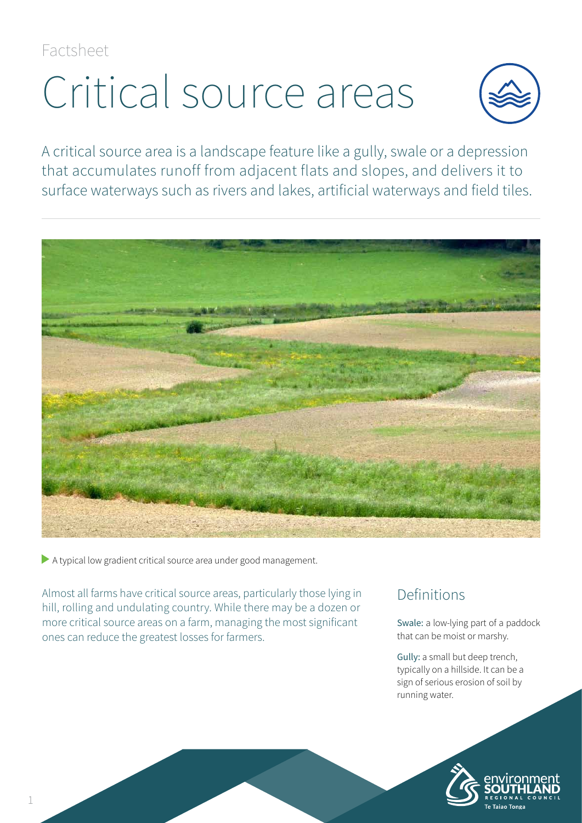Factsheet

# Critical source areas



A critical source area is a landscape feature like a gully, swale or a depression that accumulates runoff from adjacent flats and slopes, and delivers it to surface waterways such as rivers and lakes, artificial waterways and field tiles.



A typical low gradient critical source area under good management.

Almost all farms have critical source areas, particularly those lying in hill, rolling and undulating country. While there may be a dozen or more critical source areas on a farm, managing the most significant ones can reduce the greatest losses for farmers.

## Definitions

Swale: a low-lying part of a paddock that can be moist or marshy.

Gully: a small but deep trench, typically on a hillside. It can be a sign of serious erosion of soil by running water.

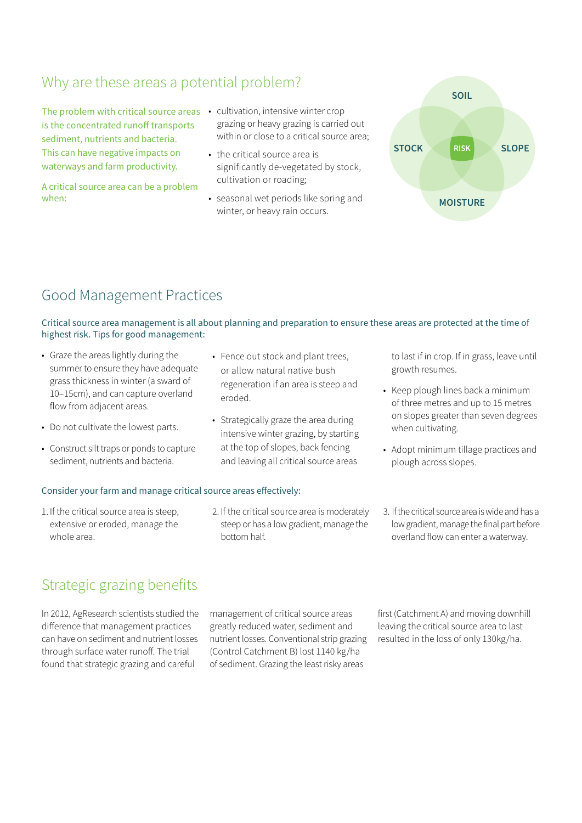## Why are these areas a potential problem?

The problem with critical source areas • cultivation, intensive winter crop is the concentrated runoff transports sediment, nutrients and bacteria. This can have negative impacts on waterways and farm productivity.

A critical source area can be a problem when:

- grazing or heavy grazing is carried out within or close to a critical source area;
- the critical source area is significantly de-vegetated by stock, cultivation or roading;
- seasonal wet periods like spring and winter, or heavy rain occurs.



## Good Management Practices

Critical source area management is all about planning and preparation to ensure these areas are protected at the time of highest risk. Tips for good management:

• Fence out stock and plant trees,

- Graze the areas lightly during the summer to ensure they have adequate grass thickness in winter (a sward of 10–15cm), and can capture overland flow from adjacent areas.
- Do not cultivate the lowest parts.
- Construct silt traps or ponds to capture sediment, nutrients and bacteria.

#### Consider your farm and manage critical source areas effectively:

1. If the critical source area is steep, extensive or eroded, manage the whole area.

- or allow natural native bush regeneration if an area is steep and eroded. • Strategically graze the area during
- intensive winter grazing, by starting at the top of slopes, back fencing and leaving all critical source areas

2. If the critical source area is moderately steep or has a low gradient, manage the

bottom half.

to last if in crop. If in grass, leave until growth resumes.

- Keep plough lines back a minimum of three metres and up to 15 metres on slopes greater than seven degrees when cultivating.
- Adopt minimum tillage practices and plough across slopes.
- 3. If the critical source area is wide and has a low gradient, manage the final part before overland flow can enter a waterway.

## Strategic grazing benefits

In 2012, AgResearch scientists studied the difference that management practices can have on sediment and nutrient losses through surface water runoff. The trial found that strategic grazing and careful

management of critical source areas greatly reduced water, sediment and nutrient losses. Conventional strip grazing (Control Catchment B) lost 1140 kg/ha of sediment. Grazing the least risky areas

first (Catchment A) and moving downhill leaving the critical source area to last resulted in the loss of only 130kg/ha.